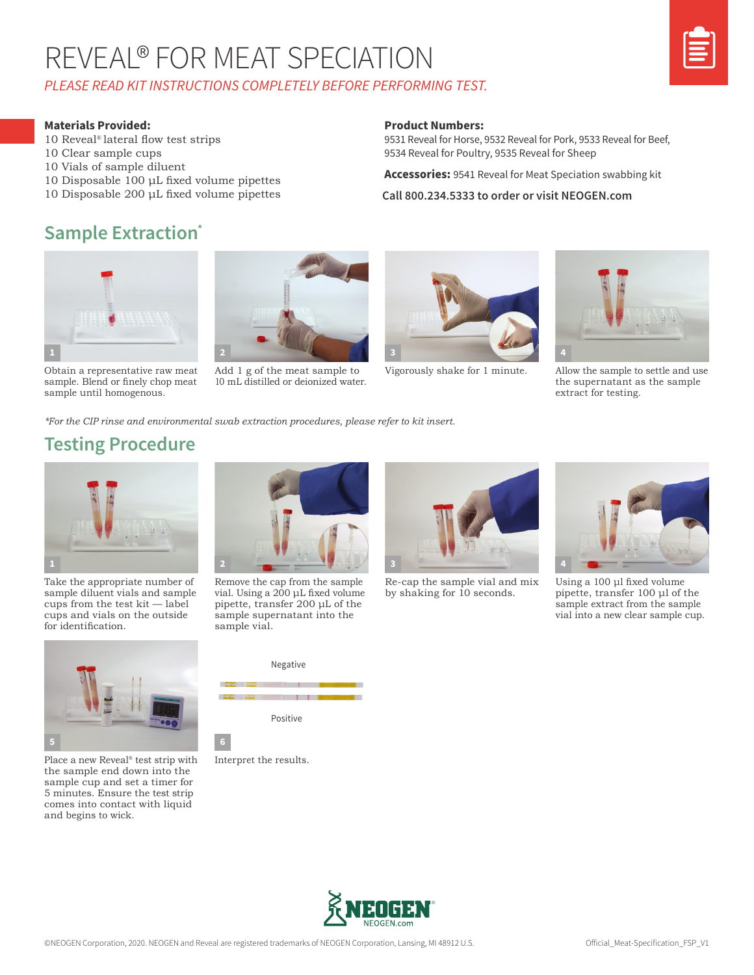## REVEAL® FOR MEAT SPECIATION *PLEASE READ KIT INSTRUCTIONS COMPLETELY BEFORE PERFORMING TEST.*



#### **Materials Provided:**

- 10 Reveal® lateral flow test strips
- 10 Clear sample cups
- 10 Vials of sample diluent
- 10 Disposable 100 μL fixed volume pipettes
- 10 Disposable 200 μL fixed volume pipettes

#### **Sample Extraction\***



Obtain a representative raw meat sample. Blend or finely chop meat sample until homogenous.



Add 1 g of the meat sample to 10 mL distilled or deionized water.



9531 Reveal for Horse, 9532 Reveal for Pork, 9533 Reveal for Beef,

**Accessories:** 9541 Reveal for Meat Speciation swabbing kit

**Call 800.234.5333 to order or visit NEOGEN.com**

9534 Reveal for Poultry, 9535 Reveal for Sheep

**Product Numbers:**



Vigorously shake for 1 minute. Allow the sample to settle and use the supernatant as the sample extract for testing.

*\*For the CIP rinse and environmental swab extraction procedures, please refer to kit insert.*

#### **Testing Procedure**



Take the appropriate number of sample diluent vials and sample cups from the test kit — label cups and vials on the outside for identification.



Place a new Reveal<sup>®</sup> test strip with Interpret the results. the sample end down into the sample cup and set a timer for 5 minutes. Ensure the test strip comes into contact with liquid and begins to wick.



Remove the cap from the sample vial. Using a 200 μL fixed volume pipette, transfer 200 μL of the sample supernatant into the sample vial.







Re-cap the sample vial and mix by shaking for 10 seconds.



Using a 100 μl fixed volume pipette, transfer 100 μl of the sample extract from the sample vial into a new clear sample cup.